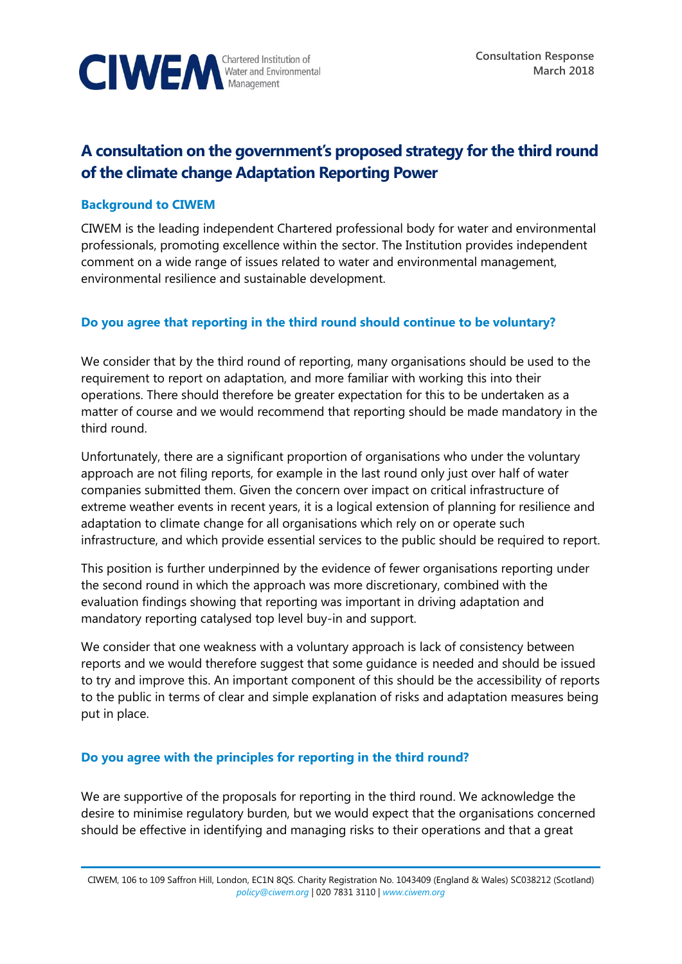

# **A consultation on the government's proposed strategy for the third round of the climate change Adaptation Reporting Power**

## **Background to CIWEM**

CIWEM is the leading independent Chartered professional body for water and environmental professionals, promoting excellence within the sector. The Institution provides independent comment on a wide range of issues related to water and environmental management, environmental resilience and sustainable development.

## **Do you agree that reporting in the third round should continue to be voluntary?**

We consider that by the third round of reporting, many organisations should be used to the requirement to report on adaptation, and more familiar with working this into their operations. There should therefore be greater expectation for this to be undertaken as a matter of course and we would recommend that reporting should be made mandatory in the third round.

Unfortunately, there are a significant proportion of organisations who under the voluntary approach are not filing reports, for example in the last round only just over half of water companies submitted them. Given the concern over impact on critical infrastructure of extreme weather events in recent years, it is a logical extension of planning for resilience and adaptation to climate change for all organisations which rely on or operate such infrastructure, and which provide essential services to the public should be required to report.

This position is further underpinned by the evidence of fewer organisations reporting under the second round in which the approach was more discretionary, combined with the evaluation findings showing that reporting was important in driving adaptation and mandatory reporting catalysed top level buy-in and support.

We consider that one weakness with a voluntary approach is lack of consistency between reports and we would therefore suggest that some guidance is needed and should be issued to try and improve this. An important component of this should be the accessibility of reports to the public in terms of clear and simple explanation of risks and adaptation measures being put in place.

#### **Do you agree with the principles for reporting in the third round?**

We are supportive of the proposals for reporting in the third round. We acknowledge the desire to minimise regulatory burden, but we would expect that the organisations concerned should be effective in identifying and managing risks to their operations and that a great

CIWEM, 106 to 109 Saffron Hill, London, EC1N 8QS. Charity Registration No. 1043409 (England & Wales) SC038212 (Scotland) *[policy@ciwem.org](mailto:policy@ciwem.org)* | 020 7831 3110 | *[www.ciwem.org](http://www.ciwem.org/)*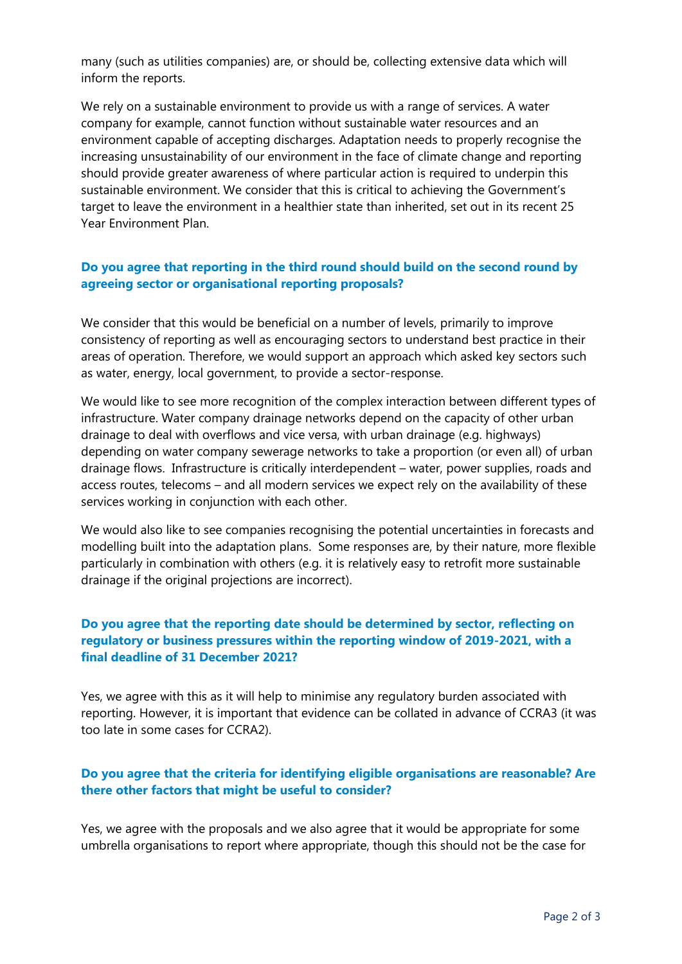many (such as utilities companies) are, or should be, collecting extensive data which will inform the reports.

We rely on a sustainable environment to provide us with a range of services. A water company for example, cannot function without sustainable water resources and an environment capable of accepting discharges. Adaptation needs to properly recognise the increasing unsustainability of our environment in the face of climate change and reporting should provide greater awareness of where particular action is required to underpin this sustainable environment. We consider that this is critical to achieving the Government's target to leave the environment in a healthier state than inherited, set out in its recent 25 Year Environment Plan.

# **Do you agree that reporting in the third round should build on the second round by agreeing sector or organisational reporting proposals?**

We consider that this would be beneficial on a number of levels, primarily to improve consistency of reporting as well as encouraging sectors to understand best practice in their areas of operation. Therefore, we would support an approach which asked key sectors such as water, energy, local government, to provide a sector-response.

We would like to see more recognition of the complex interaction between different types of infrastructure. Water company drainage networks depend on the capacity of other urban drainage to deal with overflows and vice versa, with urban drainage (e.g. highways) depending on water company sewerage networks to take a proportion (or even all) of urban drainage flows. Infrastructure is critically interdependent – water, power supplies, roads and access routes, telecoms – and all modern services we expect rely on the availability of these services working in conjunction with each other.

We would also like to see companies recognising the potential uncertainties in forecasts and modelling built into the adaptation plans. Some responses are, by their nature, more flexible particularly in combination with others (e.g. it is relatively easy to retrofit more sustainable drainage if the original projections are incorrect).

# **Do you agree that the reporting date should be determined by sector, reflecting on regulatory or business pressures within the reporting window of 2019-2021, with a final deadline of 31 December 2021?**

Yes, we agree with this as it will help to minimise any regulatory burden associated with reporting. However, it is important that evidence can be collated in advance of CCRA3 (it was too late in some cases for CCRA2).

## **Do you agree that the criteria for identifying eligible organisations are reasonable? Are there other factors that might be useful to consider?**

Yes, we agree with the proposals and we also agree that it would be appropriate for some umbrella organisations to report where appropriate, though this should not be the case for